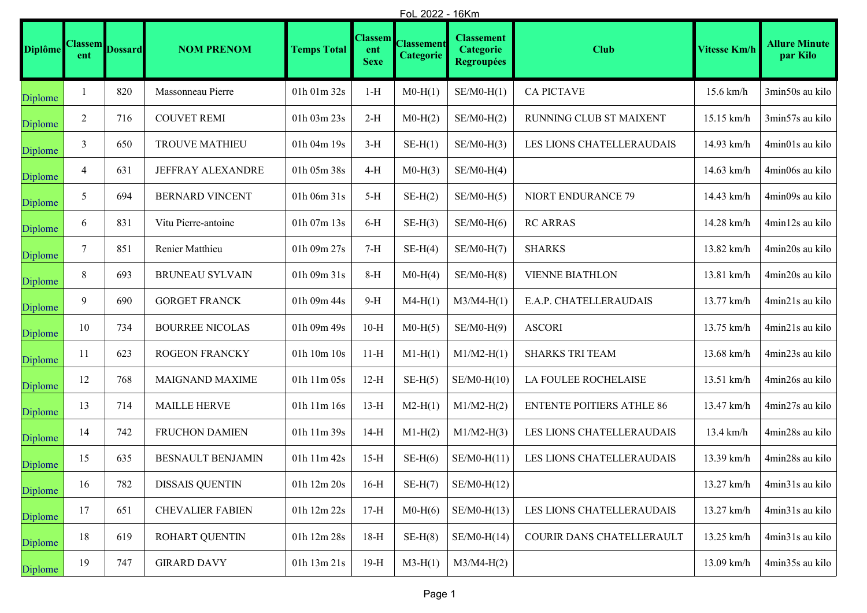|                | FoL 2022 - 16Km       |                |                         |                                  |                                      |                                |                                                     |                                  |                     |                                  |
|----------------|-----------------------|----------------|-------------------------|----------------------------------|--------------------------------------|--------------------------------|-----------------------------------------------------|----------------------------------|---------------------|----------------------------------|
| <b>Diplôme</b> | <b>Classem</b><br>ent | <b>Dossard</b> | <b>NOM PRENOM</b>       | <b>Temps Total</b>               | <b>Classem</b><br>ent<br><b>Sexe</b> | <b>Classement</b><br>Categorie | <b>Classement</b><br>Categorie<br><b>Regroupées</b> | <b>Club</b>                      | <b>Vitesse Km/h</b> | <b>Allure Minute</b><br>par Kilo |
| Diplome        |                       | 820            | Massonneau Pierre       | 01h 01m 32s                      | $1-H$                                | $M0-H(1)$                      | $SE/M0-H(1)$                                        | <b>CA PICTAVE</b>                | 15.6 km/h           | 3min50s au kilo                  |
| Diplome        | 2                     | 716            | <b>COUVET REMI</b>      | 01h 03m 23s                      | $2-H$                                | $M0-H(2)$                      | $SE/M0-H(2)$                                        | RUNNING CLUB ST MAIXENT          | 15.15 km/h          | 3min57s au kilo                  |
| Diplome        | 3                     | 650            | <b>TROUVE MATHIEU</b>   | 01h 04m 19s                      | $3-H$                                | $SE-H(1)$                      | $SE/M0-H(3)$                                        | LES LIONS CHATELLERAUDAIS        | 14.93 km/h          | 4min01s au kilo                  |
| Diplome        | 4                     | 631            | JEFFRAY ALEXANDRE       | 01h 05m 38s                      | 4-H                                  | $M0-H(3)$                      | $SE/M0-H(4)$                                        |                                  | 14.63 km/h          | 4min06s au kilo                  |
| Diplome        | 5                     | 694            | <b>BERNARD VINCENT</b>  | 01h 06m 31s                      | $5-H$                                | $SE-H(2)$                      | $SE/M0-H(5)$                                        | NIORT ENDURANCE 79               | 14.43 km/h          | 4min09s au kilo                  |
| Diplome        | 6                     | 831            | Vitu Pierre-antoine     | 01h 07m 13s                      | $6-H$                                | $SE-H(3)$                      | $SE/M0-H(6)$                                        | <b>RC ARRAS</b>                  | 14.28 km/h          | 4min12s au kilo                  |
| Diplome        | 7                     | 851            | Renier Matthieu         | 01h 09m 27s                      | $7-H$                                | $SE-H(4)$                      | $SE/M0-H(7)$                                        | <b>SHARKS</b>                    | 13.82 km/h          | 4min20s au kilo                  |
| Diplome        | $\,8\,$               | 693            | <b>BRUNEAU SYLVAIN</b>  | 01h 09m 31s                      | $8-H$                                | $M0-H(4)$                      | $SE/M0-H(8)$                                        | <b>VIENNE BIATHLON</b>           | 13.81 km/h          | 4min20s au kilo                  |
| Diplome        | 9                     | 690            | <b>GORGET FRANCK</b>    | 01h 09m 44s                      | $9-H$                                | $M4-H(1)$                      | $M3/M4-H(1)$                                        | E.A.P. CHATELLERAUDAIS           | 13.77 km/h          | 4min21s au kilo                  |
| Diplome        | 10                    | 734            | <b>BOURREE NICOLAS</b>  | 01h 09m 49s                      | $10-H$                               | $M0-H(5)$                      | $SE/M0-H(9)$                                        | <b>ASCORI</b>                    | 13.75 km/h          | 4min21s au kilo                  |
| Diplome        | 11                    | 623            | ROGEON FRANCKY          | $01\rm{h}$ $10\rm{m}$ $10\rm{s}$ | $11-H$                               | $M1-H(1)$                      | $M1/M2-H(1)$                                        | <b>SHARKS TRI TEAM</b>           | 13.68 km/h          | 4min23s au kilo                  |
| Diplome        | 12                    | 768            | <b>MAIGNAND MAXIME</b>  | 01h 11m 05s                      | $12-H$                               | $SE-H(5)$                      | $SE/M0-H(10)$                                       | LA FOULEE ROCHELAISE             | 13.51 km/h          | 4min26s au kilo                  |
| Diplome        | 13                    | 714            | <b>MAILLE HERVE</b>     | 01h 11m 16s                      | $13-H$                               | $M2-H(1)$                      | $M1/M2-H(2)$                                        | <b>ENTENTE POITIERS ATHLE 86</b> | 13.47 km/h          | 4min27s au kilo                  |
| Diplome        | 14                    | 742            | FRUCHON DAMIEN          | 01h 11m 39s                      | $14-H$                               | $M1-H(2)$                      | $M1/M2-H(3)$                                        | LES LIONS CHATELLERAUDAIS        | $13.4 \text{ km/h}$ | 4min28s au kilo                  |
| Diplome        | 15                    | 635            | BESNAULT BENJAMIN       | 01h 11m 42s                      | $15-H$                               | $SE-H(6)$                      | $SE/M0-H(11)$                                       | LES LIONS CHATELLERAUDAIS        | 13.39 km/h          | 4min28s au kilo                  |
| Diplome        | 16                    | 782            | <b>DISSAIS QUENTIN</b>  | 01h 12m 20s                      | $16-H$                               | $SE-H(7)$                      | $SE/M0-H(12)$                                       |                                  | 13.27 km/h          | 4min31s au kilo                  |
| Diplome        | 17                    | 651            | <b>CHEVALIER FABIEN</b> | 01h 12m 22s                      | $17-H$                               | $M0-H(6)$                      | $SE/M0-H(13)$                                       | LES LIONS CHATELLERAUDAIS        | 13.27 km/h          | 4min31s au kilo                  |
| Diplome        | 18                    | 619            | ROHART QUENTIN          | 01h 12m 28s                      | $18-H$                               | $SE-H(8)$                      | $SE/M0-H(14)$                                       | COURIR DANS CHATELLERAULT        | 13.25 km/h          | 4min31s au kilo                  |
| Diplome        | 19                    | 747            | <b>GIRARD DAVY</b>      | 01h 13m 21s                      | $19-H$                               | $M3-H(1)$                      | $M3/M4-H(2)$                                        |                                  | 13.09 km/h          | 4min35s au kilo                  |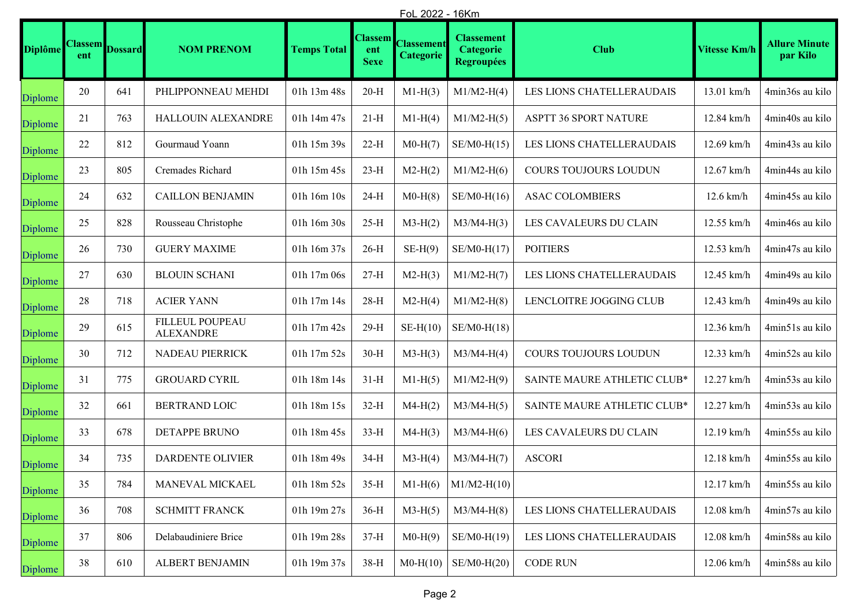|                | FoL 2022 - 16Km       |                |                                     |                    |                                      |                                       |                                                     |                             |                     |                                  |
|----------------|-----------------------|----------------|-------------------------------------|--------------------|--------------------------------------|---------------------------------------|-----------------------------------------------------|-----------------------------|---------------------|----------------------------------|
| <b>Diplôme</b> | <b>Classem</b><br>ent | <b>Dossard</b> | <b>NOM PRENOM</b>                   | <b>Temps Total</b> | <b>Classem</b><br>ent<br><b>Sexe</b> | <b>Classement</b><br><b>Categorie</b> | <b>Classement</b><br>Categorie<br><b>Regroupées</b> | <b>Club</b>                 | <b>Vitesse Km/h</b> | <b>Allure Minute</b><br>par Kilo |
| Diplome        | 20                    | 641            | PHLIPPONNEAU MEHDI                  | 01h 13m 48s        | $20-H$                               | $M1-H(3)$                             | $M1/M2-H(4)$                                        | LES LIONS CHATELLERAUDAIS   | 13.01 km/h          | 4min36s au kilo                  |
| Diplome        | 21                    | 763            | HALLOUIN ALEXANDRE                  | 01h 14m 47s        | $21-H$                               | $M1-H(4)$                             | $M1/M2-H(5)$                                        | ASPTT 36 SPORT NATURE       | 12.84 km/h          | 4min40s au kilo                  |
| Diplome        | 22                    | 812            | Gourmaud Yoann                      | 01h 15m 39s        | $22-H$                               | $M0-H(7)$                             | $SE/M0-H(15)$                                       | LES LIONS CHATELLERAUDAIS   | 12.69 km/h          | 4min43s au kilo                  |
| Diplome        | 23                    | 805            | Cremades Richard                    | 01h 15m 45s        | $23-H$                               | $M2-H(2)$                             | $M1/M2-H(6)$                                        | COURS TOUJOURS LOUDUN       | 12.67 km/h          | 4min44s au kilo                  |
| Diplome        | 24                    | 632            | <b>CAILLON BENJAMIN</b>             | 01h 16m 10s        | $24-H$                               | $M0-H(8)$                             | $SE/M0-H(16)$                                       | <b>ASAC COLOMBIERS</b>      | $12.6$ km/h         | 4min45s au kilo                  |
| Diplome        | 25                    | 828            | Rousseau Christophe                 | 01h 16m 30s        | $25-H$                               | $M3-H(2)$                             | $M3/M4-H(3)$                                        | LES CAVALEURS DU CLAIN      | 12.55 km/h          | 4min46s au kilo                  |
| Diplome        | 26                    | 730            | <b>GUERY MAXIME</b>                 | 01h 16m 37s        | $26-H$                               | $SE-H(9)$                             | $SE/M0-H(17)$                                       | <b>POITIERS</b>             | 12.53 km/h          | 4min47s au kilo                  |
| Diplome        | 27                    | 630            | <b>BLOUIN SCHANI</b>                | 01h 17m 06s        | $27-H$                               | $M2-H(3)$                             | $M1/M2-H(7)$                                        | LES LIONS CHATELLERAUDAIS   | 12.45 km/h          | 4min49s au kilo                  |
| Diplome        | $28\,$                | 718            | <b>ACIER YANN</b>                   | 01h 17m 14s        | $28-H$                               | $M2-H(4)$                             | $M1/M2-H(8)$                                        | LENCLOITRE JOGGING CLUB     | 12.43 km/h          | 4min49s au kilo                  |
| Diplome        | 29                    | 615            | FILLEUL POUPEAU<br><b>ALEXANDRE</b> | 01h 17m 42s        | $29-H$                               | $SE-H(10)$                            | $SE/M0-H(18)$                                       |                             | 12.36 km/h          | 4min51s au kilo                  |
| Diplome        | 30                    | 712            | NADEAU PIERRICK                     | 01h 17m 52s        | $30-H$                               | $M3-H(3)$                             | $M3/M4-H(4)$                                        | COURS TOUJOURS LOUDUN       | 12.33 km/h          | 4min52s au kilo                  |
| Diplome        | 31                    | 775            | <b>GROUARD CYRIL</b>                | 01h 18m 14s        | $31-H$                               | $M1-H(5)$                             | $M1/M2-H(9)$                                        | SAINTE MAURE ATHLETIC CLUB* | 12.27 km/h          | 4min53s au kilo                  |
| Diplome        | 32                    | 661            | BERTRAND LOIC                       | 01h 18m 15s        | $32-H$                               | $M4-H(2)$                             | $M3/M4-H(5)$                                        | SAINTE MAURE ATHLETIC CLUB* | 12.27 km/h          | 4min53s au kilo                  |
| Diplome        | 33                    | 678            | DETAPPE BRUNO                       | 01h 18m 45s        | $33-H$                               | $M4-H(3)$                             | $M3/M4-H(6)$                                        | LES CAVALEURS DU CLAIN      | 12.19 km/h          | 4min55s au kilo                  |
| Diplome        | 34                    | 735            | <b>DARDENTE OLIVIER</b>             | 01h 18m 49s        | $34-H$                               | $M3-H(4)$                             | $M3/M4-H(7)$                                        | <b>ASCORI</b>               | 12.18 km/h          | 4min55s au kilo                  |
| Diplome        | 35                    | 784            | MANEVAL MICKAEL                     | 01h 18m 52s        | $35-H$                               | $M1-H(6)$                             | $M1/M2-H(10)$                                       |                             | 12.17 km/h          | 4min55s au kilo                  |
| Diplome        | 36                    | 708            | <b>SCHMITT FRANCK</b>               | 01h 19m 27s        | $36-H$                               | $M3-H(5)$                             | $M3/M4-H(8)$                                        | LES LIONS CHATELLERAUDAIS   | 12.08 km/h          | 4min57s au kilo                  |
| Diplome        | 37                    | 806            | Delabaudiniere Brice                | 01h 19m 28s        | $37-H$                               | $M0-H(9)$                             | $SE/M0-H(19)$                                       | LES LIONS CHATELLERAUDAIS   | 12.08 km/h          | 4min58s au kilo                  |
| Diplome        | 38                    | 610            | ALBERT BENJAMIN                     | 01h 19m 37s        | $38-H$                               | $M0-H(10)$                            | $SE/M0-H(20)$                                       | <b>CODE RUN</b>             | 12.06 km/h          | 4min58s au kilo                  |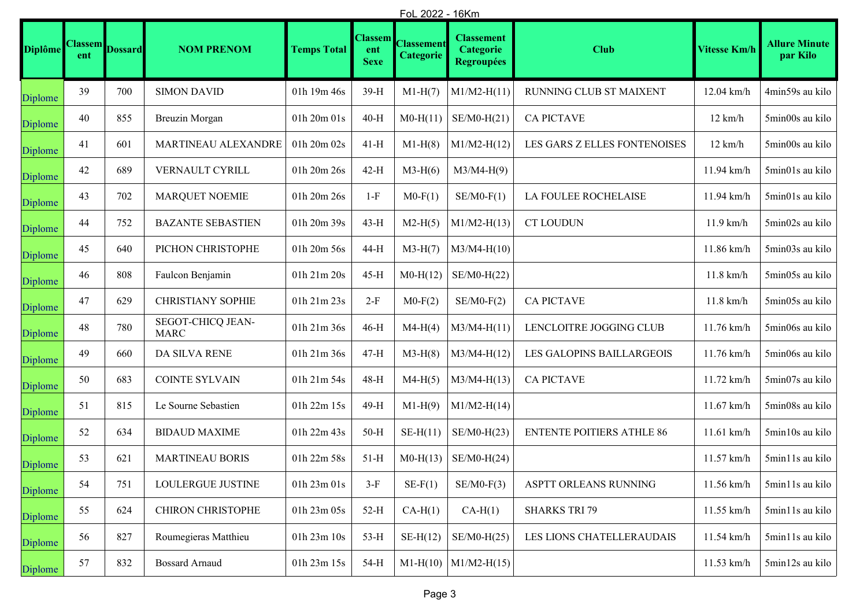|                | FoL 2022 - 16Km       |                |                                  |                    |                                      |                                       |                                                            |                                  |                   |                                  |
|----------------|-----------------------|----------------|----------------------------------|--------------------|--------------------------------------|---------------------------------------|------------------------------------------------------------|----------------------------------|-------------------|----------------------------------|
| <b>Diplôme</b> | <b>Classem</b><br>ent | <b>Dossard</b> | <b>NOM PRENOM</b>                | <b>Temps Total</b> | <b>Classem</b><br>ent<br><b>Sexe</b> | <b>Classement</b><br><b>Categorie</b> | <b>Classement</b><br><b>Categorie</b><br><b>Regroupées</b> | <b>Club</b>                      | Vitesse Km/h      | <b>Allure Minute</b><br>par Kilo |
| Diplome        | 39                    | 700            | <b>SIMON DAVID</b>               | 01h 19m 46s        | 39-H                                 | $M1-H(7)$                             | $M1/M2-H(11)$                                              | RUNNING CLUB ST MAIXENT          | 12.04 km/h        | 4min59s au kilo                  |
| Diplome        | 40                    | 855            | Breuzin Morgan                   | 01h 20m 01s        | $40-H$                               | $M0-H(11)$                            | $SE/M0-H(21)$                                              | <b>CA PICTAVE</b>                | $12 \text{ km/h}$ | 5min00s au kilo                  |
| Diplome        | 41                    | 601            | MARTINEAU ALEXANDRE              | 01h 20m 02s        | $41-H$                               | $M1-H(8)$                             | $M1/M2-H(12)$                                              | LES GARS Z ELLES FONTENOISES     | $12 \text{ km/h}$ | 5min00s au kilo                  |
| Diplome        | 42                    | 689            | VERNAULT CYRILL                  | 01h 20m 26s        | $42-H$                               | $M3-H(6)$                             | $M3/M4-H(9)$                                               |                                  | 11.94 km/h        | 5min01s au kilo                  |
| Diplome        | 43                    | 702            | <b>MARQUET NOEMIE</b>            | 01h 20m 26s        | $1-F$                                | $M0-F(1)$                             | $SE/M0-F(1)$                                               | LA FOULEE ROCHELAISE             | 11.94 km/h        | 5min01s au kilo                  |
| Diplome        | 44                    | 752            | <b>BAZANTE SEBASTIEN</b>         | 01h 20m 39s        | $43-H$                               | $M2-H(5)$                             | $M1/M2-H(13)$                                              | <b>CT LOUDUN</b>                 | $11.9$ km/h       | 5min02s au kilo                  |
| Diplome        | 45                    | 640            | PICHON CHRISTOPHE                | 01h 20m 56s        | 44-H                                 | $M3-H(7)$                             | $M3/M4-H(10)$                                              |                                  | $11.86$ km/h      | 5min03s au kilo                  |
| Diplome        | 46                    | 808            | Faulcon Benjamin                 | 01h 21m 20s        | $45-H$                               | $M0-H(12)$                            | $SE/M0-H(22)$                                              |                                  | $11.8$ km/h       | 5min05s au kilo                  |
| Diplome        | 47                    | 629            | <b>CHRISTIANY SOPHIE</b>         | 01h 21m 23s        | $2-F$                                | $M0-F(2)$                             | $SE/M0-F(2)$                                               | <b>CA PICTAVE</b>                | $11.8$ km/h       | 5min05s au kilo                  |
| Diplome        | 48                    | 780            | SEGOT-CHICQ JEAN-<br><b>MARC</b> | 01h 21m 36s        | $46-H$                               | $M4-H(4)$                             | $M3/M4-H(11)$                                              | LENCLOITRE JOGGING CLUB          | 11.76 km/h        | 5min06s au kilo                  |
| Diplome        | 49                    | 660            | DA SILVA RENE                    | 01h 21m 36s        | $47-H$                               | $M3-H(8)$                             | $M3/M4-H(12)$                                              | LES GALOPINS BAILLARGEOIS        | 11.76 km/h        | 5min06s au kilo                  |
| Diplome        | 50                    | 683            | <b>COINTE SYLVAIN</b>            | 01h 21m 54s        | 48-H                                 | $M4-H(5)$                             | $M3/M4-H(13)$                                              | <b>CA PICTAVE</b>                | 11.72 km/h        | 5min07s au kilo                  |
| Diplome        | 51                    | 815            | Le Sourne Sebastien              | 01h 22m 15s        | 49-H                                 | $M1-H(9)$                             | $M1/M2-H(14)$                                              |                                  | $11.67$ km/h      | 5min08s au kilo                  |
| Diplome        | 52                    | 634            | <b>BIDAUD MAXIME</b>             | 01h 22m 43s        | $50-H$                               | $SE-H(11)$                            | $SE/M0-H(23)$                                              | <b>ENTENTE POITIERS ATHLE 86</b> | 11.61 km/h        | 5min10s au kilo                  |
| Diplome        | 53                    | 621            | <b>MARTINEAU BORIS</b>           | 01h 22m 58s        | $51-H$                               | $M0-H(13)$                            | $SE/M0-H(24)$                                              |                                  | 11.57 km/h        | 5min11s au kilo                  |
| Diplome        | 54                    | 751            | LOULERGUE JUSTINE                | 01h 23m 01s        | $3-F$                                | $SE-F(1)$                             | $SE/M0-F(3)$                                               | ASPTT ORLEANS RUNNING            | 11.56 km/h        | 5min11s au kilo                  |
| Diplome        | 55                    | 624            | CHIRON CHRISTOPHE                | 01h 23m 05s        | $52-H$                               | $CA-H(1)$                             | $CA-H(1)$                                                  | <b>SHARKS TRI 79</b>             | 11.55 km/h        | 5min11s au kilo                  |
| Diplome        | 56                    | 827            | Roumegieras Matthieu             | 01h 23m 10s        | $53-H$                               | $SE-H(12)$                            | $SE/M0-H(25)$                                              | LES LIONS CHATELLERAUDAIS        | 11.54 km/h        | 5min11s au kilo                  |
| Diplome        | 57                    | 832            | <b>Bossard Arnaud</b>            | 01h 23m 15s        | 54-H                                 | $M1-H(10)$                            | $M1/M2-H(15)$                                              |                                  | $11.53$ km/h      | 5min12s au kilo                  |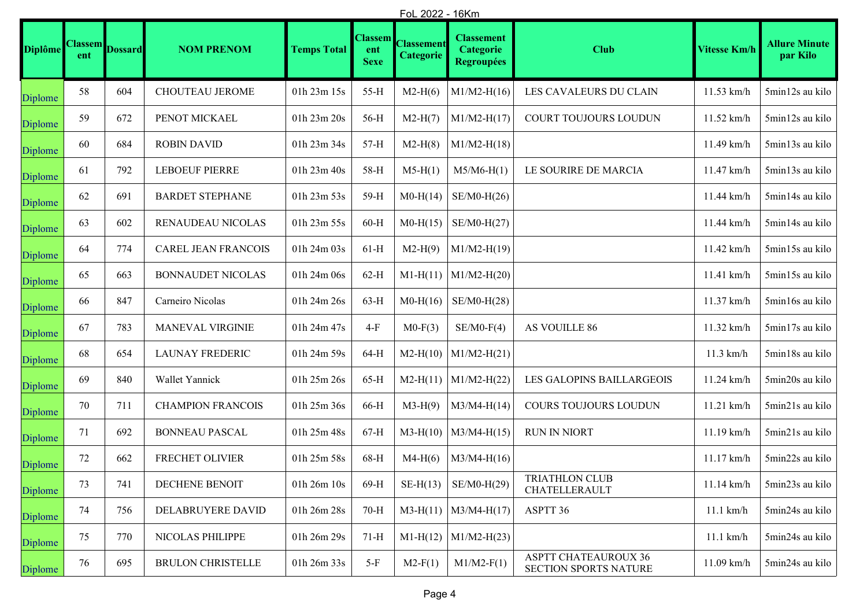|                | <u>FoL 2022 - 16Km</u> |                |                            |                    |                                      |                                |                                                            |                                                      |                     |                                  |
|----------------|------------------------|----------------|----------------------------|--------------------|--------------------------------------|--------------------------------|------------------------------------------------------------|------------------------------------------------------|---------------------|----------------------------------|
| <b>Diplôme</b> | <b>Classem</b><br>ent  | <b>Dossard</b> | <b>NOM PRENOM</b>          | <b>Temps Total</b> | <b>Classem</b><br>ent<br><b>Sexe</b> | <b>Classement</b><br>Categorie | <b>Classement</b><br><b>Categorie</b><br><b>Regroupées</b> | <b>Club</b>                                          | <b>Vitesse Km/h</b> | <b>Allure Minute</b><br>par Kilo |
| Diplome        | 58                     | 604            | CHOUTEAU JEROME            | 01h 23m 15s        | $55-H$                               | $M2-H(6)$                      | $M1/M2-H(16)$                                              | LES CAVALEURS DU CLAIN                               | 11.53 km/h          | 5min12s au kilo                  |
| Diplome        | 59                     | 672            | PENOT MICKAEL              | 01h 23m 20s        | 56-H                                 | $M2-H(7)$                      | $M1/M2-H(17)$                                              | COURT TOUJOURS LOUDUN                                | 11.52 km/h          | 5min12s au kilo                  |
| Diplome        | 60                     | 684            | <b>ROBIN DAVID</b>         | 01h 23m 34s        | $57-H$                               | $M2-H(8)$                      | $M1/M2-H(18)$                                              |                                                      | 11.49 km/h          | 5min13s au kilo                  |
| Diplome        | 61                     | 792            | <b>LEBOEUF PIERRE</b>      | 01h 23m 40s        | 58-H                                 | $M5-H(1)$                      | $M5/M6-H(1)$                                               | LE SOURIRE DE MARCIA                                 | 11.47 km/h          | 5min13s au kilo                  |
| Diplome        | 62                     | 691            | <b>BARDET STEPHANE</b>     | 01h 23m 53s        | 59-H                                 | $M0-H(14)$                     | $SE/M0-H(26)$                                              |                                                      | 11.44 km/h          | 5min14s au kilo                  |
| Diplome        | 63                     | 602            | RENAUDEAU NICOLAS          | 01h 23m 55s        | $60-H$                               | $M0-H(15)$                     | $SE/M0-H(27)$                                              |                                                      | 11.44 km/h          | 5min14s au kilo                  |
| Diplome        | 64                     | 774            | <b>CAREL JEAN FRANCOIS</b> | 01h 24m 03s        | $61-H$                               | $M2-H(9)$                      | $M1/M2-H(19)$                                              |                                                      | 11.42 km/h          | 5min15s au kilo                  |
| Diplome        | 65                     | 663            | <b>BONNAUDET NICOLAS</b>   | 01h 24m 06s        | $62-H$                               | $M1-H(11)$                     | $M1/M2-H(20)$                                              |                                                      | 11.41 km/h          | 5min15s au kilo                  |
| Diplome        | 66                     | 847            | Carneiro Nicolas           | 01h 24m 26s        | $63-H$                               | $M0-H(16)$                     | $SE/M0-H(28)$                                              |                                                      | 11.37 km/h          | 5min16s au kilo                  |
| Diplome        | 67                     | 783            | <b>MANEVAL VIRGINIE</b>    | 01h 24m 47s        | $4-F$                                | $M0-F(3)$                      | $SE/M0-F(4)$                                               | AS VOUILLE 86                                        | 11.32 km/h          | 5min17s au kilo                  |
| Diplome        | 68                     | 654            | <b>LAUNAY FREDERIC</b>     | 01h 24m 59s        | $64-H$                               | $M2-H(10)$                     | $M1/M2-H(21)$                                              |                                                      | $11.3$ km/h         | 5min18s au kilo                  |
| Diplome        | 69                     | 840            | Wallet Yannick             | 01h 25m 26s        | $65-H$                               | $M2-H(11)$                     | $M1/M2-H(22)$                                              | LES GALOPINS BAILLARGEOIS                            | 11.24 km/h          | 5min20s au kilo                  |
| Diplome        | 70                     | 711            | <b>CHAMPION FRANCOIS</b>   | 01h 25m 36s        | 66-H                                 | $M3-H(9)$                      | $M3/M4-H(14)$                                              | COURS TOUJOURS LOUDUN                                | 11.21 km/h          | 5min21s au kilo                  |
| Diplome        | 71                     | 692            | <b>BONNEAU PASCAL</b>      | 01h 25m 48s        | $67-H$                               | $M3-H(10)$                     | $M3/M4-H(15)$                                              | <b>RUN IN NIORT</b>                                  | 11.19 km/h          | 5min21s au kilo                  |
| Diplome        | $72\,$                 | 662            | FRECHET OLIVIER            | 01h 25m 58s        | 68-H                                 | $M4-H(6)$                      | $M3/M4-H(16)$                                              |                                                      | 11.17 km/h          | 5min22s au kilo                  |
| Diplome        | 73                     | 741            | DECHENE BENOIT             | 01h 26m 10s        | 69-H                                 | $SE-H(13)$                     | SE/M0-H(29)                                                | <b>TRIATHLON CLUB</b><br>CHATELLERAULT               | 11.14 km/h          | 5min23s au kilo                  |
| Diplome        | 74                     | 756            | DELABRUYERE DAVID          | 01h 26m 28s        | $70-H$                               |                                | $M3-H(11)$   $M3/M4-H(17)$                                 | ASPTT 36                                             | $11.1$ km/h         | 5min24s au kilo                  |
| Diplome        | 75                     | 770            | NICOLAS PHILIPPE           | 01h 26m 29s        | $71-H$                               | $M1-H(12)$                     | $M1/M2-H(23)$                                              |                                                      | $11.1$ km/h         | 5min24s au kilo                  |
| Diplome        | 76                     | 695            | <b>BRULON CHRISTELLE</b>   | 01h 26m 33s        | $5-F$                                | $M2-F(1)$                      | $M1/M2-F(1)$                                               | <b>ASPTT CHATEAUROUX 36</b><br>SECTION SPORTS NATURE | 11.09 km/h          | 5min24s au kilo                  |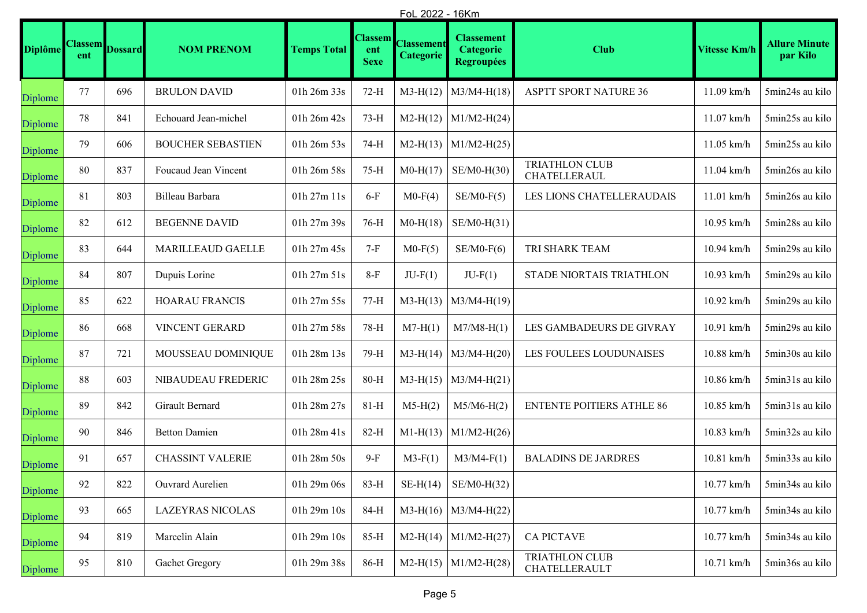|                | FoL 2022 - 16Km       |                |                          |                    |                                      |                                       |                                                            |                                        |                     |                                     |
|----------------|-----------------------|----------------|--------------------------|--------------------|--------------------------------------|---------------------------------------|------------------------------------------------------------|----------------------------------------|---------------------|-------------------------------------|
| <b>Diplôme</b> | <b>Classem</b><br>ent | <b>Dossard</b> | <b>NOM PRENOM</b>        | <b>Temps Total</b> | <b>Classem</b><br>ent<br><b>Sexe</b> | <b>Classement</b><br><b>Categorie</b> | <b>Classement</b><br><b>Categorie</b><br><b>Regroupées</b> | <b>Club</b>                            | <b>Vitesse Km/h</b> | <b>Allure Minute</b><br>par Kilo    |
| Diplome        | 77                    | 696            | <b>BRULON DAVID</b>      | 01h 26m 33s        | $72-H$                               | $M3-H(12)$                            | $M3/M4-H(18)$                                              | <b>ASPTT SPORT NATURE 36</b>           | 11.09 km/h          | 5min24s au kilo                     |
| Diplome        | 78                    | 841            | Echouard Jean-michel     | 01h 26m 42s        | $73-H$                               | $M2-H(12)$                            | $M1/M2-H(24)$                                              |                                        | $11.07$ km/h        | 5min25s au kilo                     |
| Diplome        | 79                    | 606            | <b>BOUCHER SEBASTIEN</b> | 01h 26m 53s        | 74-H                                 | $M2-H(13)$                            | $M1/M2-H(25)$                                              |                                        | $11.05$ km/h        | 5min25s au kilo                     |
| Diplome        | 80                    | 837            | Foucaud Jean Vincent     | 01h 26m 58s        | $75-H$                               | $M0-H(17)$                            | $SE/M0-H(30)$                                              | <b>TRIATHLON CLUB</b><br>CHATELLERAUL  | $11.04$ km/h        | 5min26s au kilo                     |
| Diplome        | 81                    | 803            | Billeau Barbara          | 01h 27m 11s        | $6-F$                                | $M0-F(4)$                             | $SE/M0-F(5)$                                               | LES LIONS CHATELLERAUDAIS              | $11.01$ km/h        | 5min26s au kilo                     |
| Diplome        | 82                    | 612            | <b>BEGENNE DAVID</b>     | 01h 27m 39s        | $76-H$                               | $M0-H(18)$                            | $SE/M0-H(31)$                                              |                                        | 10.95 km/h          | 5min28s au kilo                     |
| Diplome        | 83                    | 644            | <b>MARILLEAUD GAELLE</b> | 01h 27m 45s        | $7-F$                                | $M0-F(5)$                             | $SE/M0-F(6)$                                               | TRI SHARK TEAM                         | 10.94 km/h          | 5min29s au kilo                     |
| Diplome        | 84                    | 807            | Dupuis Lorine            | 01h 27m 51s        | $8-F$                                | $JU-F(1)$                             | $JU-F(1)$                                                  | STADE NIORTAIS TRIATHLON               | 10.93 km/h          | 5min29s au kilo                     |
| Diplome        | 85                    | 622            | <b>HOARAU FRANCIS</b>    | 01h 27m 55s        | $77-H$                               | $M3-H(13)$                            | $M3/M4-H(19)$                                              |                                        | 10.92 km/h          | 5min29s au kilo                     |
| Diplome        | 86                    | 668            | VINCENT GERARD           | 01h 27m 58s        | 78-H                                 | $M7-H(1)$                             | $M7/M8-H(1)$                                               | LES GAMBADEURS DE GIVRAY               | 10.91 km/h          | 5min29s au kilo                     |
| Diplome        | 87                    | 721            | MOUSSEAU DOMINIQUE       | 01h 28m 13s        | 79-H                                 | $M3-H(14)$                            | $M3/M4-H(20)$                                              | LES FOULEES LOUDUNAISES                | 10.88 km/h          | 5min30s au kilo                     |
| Diplome        | 88                    | 603            | NIBAUDEAU FREDERIC       | 01h 28m 25s        | $80-H$                               | $M3-H(15)$                            | $M3/M4-H(21)$                                              |                                        | 10.86 km/h          | 5min31s au kilo                     |
| Diplome        | 89                    | 842            | Girault Bernard          | 01h 28m 27s        | $81-H$                               | $M5-H(2)$                             | $M5/M6-H(2)$                                               | <b>ENTENTE POITIERS ATHLE 86</b>       | 10.85 km/h          | $5\mathrm{min}31\mathrm{s}$ au kilo |
| Diplome        | 90                    | 846            | <b>Betton Damien</b>     | 01h 28m 41s        | 82-H                                 | $M1-H(13)$                            | $M1/M2-H(26)$                                              |                                        | 10.83 km/h          | 5min32s au kilo                     |
| Diplome        | 91                    | 657            | <b>CHASSINT VALERIE</b>  | 01h 28m 50s        | $9-F$                                | $M3-F(1)$                             | $M3/M4-F(1)$                                               | <b>BALADINS DE JARDRES</b>             | $10.81$ km/h        | 5min33s au kilo                     |
| Diplome        | 92                    | 822            | Ouvrard Aurelien         | 01h 29m 06s        | 83-H                                 | $SE-H(14)$                            | $SE/M0-H(32)$                                              |                                        | 10.77 km/h          | 5min34s au kilo                     |
| Diplome        | 93                    | 665            | <b>LAZEYRAS NICOLAS</b>  | 01h 29m 10s        | 84-H                                 |                                       | $M3-H(16)$ M3/M4-H(22)                                     |                                        | 10.77 km/h          | 5min34s au kilo                     |
| Diplome        | 94                    | 819            | Marcelin Alain           | 01h 29m 10s        | 85-H                                 | $M2-H(14)$                            | $M1/M2-H(27)$                                              | <b>CA PICTAVE</b>                      | 10.77 km/h          | 5min34s au kilo                     |
| Diplome        | 95                    | 810            | Gachet Gregory           | 01h 29m 38s        | 86-H                                 | $M2-H(15)$                            | $M1/M2-H(28)$                                              | <b>TRIATHLON CLUB</b><br>CHATELLERAULT | 10.71 km/h          | 5min36s au kilo                     |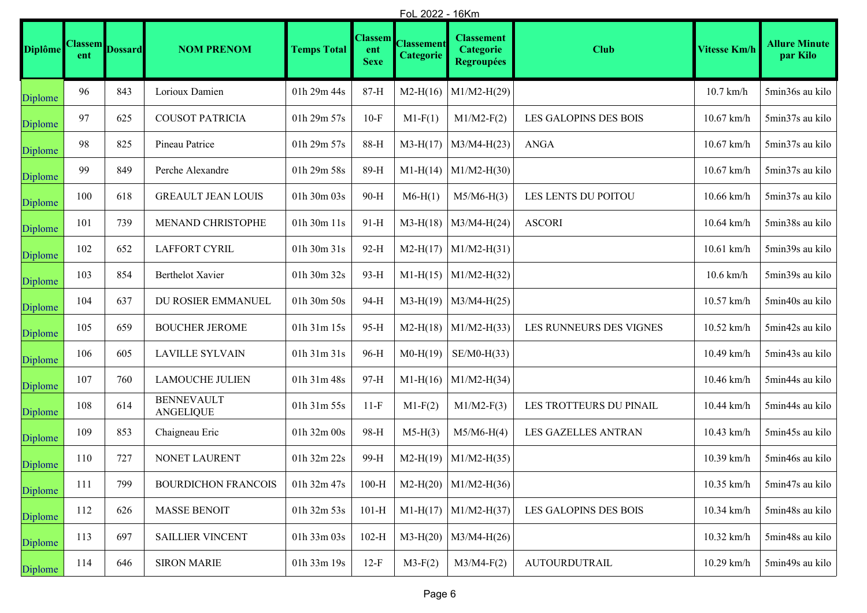|                | FoL 2022 - 16Km       |                |                                       |                    |                                      |                                       |                                                            |                              |                                 |                                  |
|----------------|-----------------------|----------------|---------------------------------------|--------------------|--------------------------------------|---------------------------------------|------------------------------------------------------------|------------------------------|---------------------------------|----------------------------------|
| <b>Diplôme</b> | <b>Classem</b><br>ent | <b>Dossard</b> | <b>NOM PRENOM</b>                     | <b>Temps Total</b> | <b>Classem</b><br>ent<br><b>Sexe</b> | <b>Classement</b><br><b>Categorie</b> | <b>Classement</b><br><b>Categorie</b><br><b>Regroupées</b> | <b>Club</b>                  | <b>Vitesse Km/h</b>             | <b>Allure Minute</b><br>par Kilo |
| Diplome        | 96                    | 843            | Lorioux Damien                        | 01h 29m 44s        | 87-H                                 | $M2-H(16)$                            | $M1/M2-H(29)$                                              |                              | $10.7$ km/h                     | 5min36s au kilo                  |
| Diplome        | 97                    | 625            | <b>COUSOT PATRICIA</b>                | 01h 29m 57s        | $10-F$                               | $M1-F(1)$                             | $M1/M2-F(2)$                                               | <b>LES GALOPINS DES BOIS</b> | 10.67 km/h                      | 5min37s au kilo                  |
| Diplome        | 98                    | 825            | Pineau Patrice                        | 01h 29m 57s        | 88-H                                 | $M3-H(17)$                            | $M3/M4-H(23)$                                              | <b>ANGA</b>                  | $10.67$ km/h                    | 5min37s au kilo                  |
| Diplome        | 99                    | 849            | Perche Alexandre                      | 01h 29m 58s        | 89-H                                 | $M1-H(14)$                            | $M1/M2-H(30)$                                              |                              | $10.67\ \mathrm{km}/\mathrm{h}$ | 5min37s au kilo                  |
| Diplome        | 100                   | 618            | <b>GREAULT JEAN LOUIS</b>             | 01h 30m 03s        | 90-H                                 | $M6-H(1)$                             | $M5/M6-H(3)$                                               | LES LENTS DU POITOU          | 10.66 km/h                      | 5min37s au kilo                  |
| Diplome        | 101                   | 739            | MENAND CHRISTOPHE                     | 01h 30m 11s        | $91-H$                               | $M3-H(18)$                            | $M3/M4-H(24)$                                              | <b>ASCORI</b>                | 10.64 km/h                      | 5min38s au kilo                  |
| Diplome        | 102                   | 652            | LAFFORT CYRIL                         | 01h 30m 31s        | 92-H                                 | $M2-H(17)$                            | $M1/M2-H(31)$                                              |                              | 10.61 km/h                      | 5min39s au kilo                  |
| Diplome        | 103                   | 854            | Berthelot Xavier                      | 01h 30m 32s        | 93-H                                 |                                       | $M1-H(15)$ M1/M2-H(32)                                     |                              | $10.6$ km/h                     | 5min39s au kilo                  |
| Diplome        | 104                   | 637            | DU ROSIER EMMANUEL                    | 01h 30m 50s        | 94-H                                 | $M3-H(19)$                            | $M3/M4-H(25)$                                              |                              | 10.57 km/h                      | 5min40s au kilo                  |
| Diplome        | 105                   | 659            | <b>BOUCHER JEROME</b>                 | 01h 31m 15s        | 95-H                                 | $M2-H(18)$                            | $M1/M2-H(33)$                                              | LES RUNNEURS DES VIGNES      | 10.52 km/h                      | 5min42s au kilo                  |
| Diplome        | 106                   | 605            | <b>LAVILLE SYLVAIN</b>                | 01h 31m 31s        | 96-H                                 | $M0-H(19)$                            | $SE/M0-H(33)$                                              |                              | 10.49 km/h                      | 5min43s au kilo                  |
| Diplome        | 107                   | 760            | <b>LAMOUCHE JULIEN</b>                | 01h 31m 48s        | 97-H                                 | $M1-H(16)$                            | $M1/M2-H(34)$                                              |                              | 10.46 km/h                      | 5min44s au kilo                  |
| Diplome        | 108                   | 614            | <b>BENNEVAULT</b><br><b>ANGELIQUE</b> | 01h 31m 55s        | $11-F$                               | $M1-F(2)$                             | $M1/M2-F(3)$                                               | LES TROTTEURS DU PINAIL      | 10.44 km/h                      | 5min44s au kilo                  |
| Diplome        | 109                   | 853            | Chaigneau Eric                        | 01h 32m 00s        | 98-H                                 | $M5-H(3)$                             | $M5/M6-H(4)$                                               | LES GAZELLES ANTRAN          | 10.43 km/h                      | 5min45s au kilo                  |
| Diplome        | 110                   | 727            | NONET LAURENT                         | 01h 32m 22s        | 99-H                                 | $M2-H(19)$                            | $M1/M2-H(35)$                                              |                              | 10.39 km/h                      | 5min46s au kilo                  |
| Diplome        | 111                   | 799            | <b>BOURDICHON FRANCOIS</b>            | 01h 32m 47s        | $100-H$                              |                                       | $M2-H(20)$ M1/M2-H(36)                                     |                              | 10.35 km/h                      | 5min47s au kilo                  |
| Diplome        | 112                   | 626            | <b>MASSE BENOIT</b>                   | 01h 32m 53s        | $101-H$                              |                                       | $M1-H(17)$   M1/M2-H(37)                                   | LES GALOPINS DES BOIS        | 10.34 km/h                      | 5min48s au kilo                  |
| Diplome        | 113                   | 697            | <b>SAILLIER VINCENT</b>               | 01h 33m 03s        | $102-H$                              | $M3-H(20)$                            | $M3/M4-H(26)$                                              |                              | 10.32 km/h                      | 5min48s au kilo                  |
| Diplome        | 114                   | 646            | <b>SIRON MARIE</b>                    | 01h 33m 19s        | $12-F$                               | $M3-F(2)$                             | $M3/M4-F(2)$                                               | AUTOURDUTRAIL                | 10.29 km/h                      | 5min49s au kilo                  |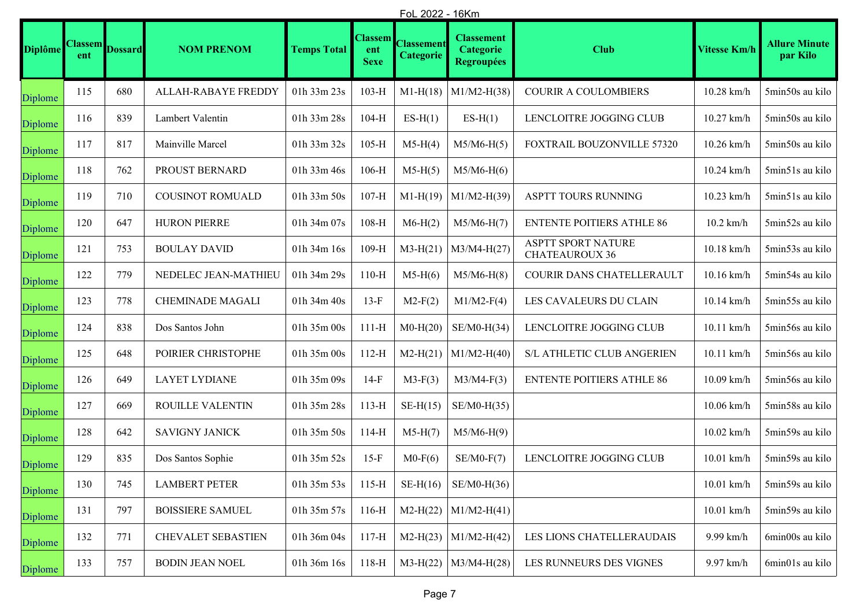|                | FoL 2022 - 16Km |                        |                           |                    |                                      |                                       |                                                            |                                                    |                     |                                  |
|----------------|-----------------|------------------------|---------------------------|--------------------|--------------------------------------|---------------------------------------|------------------------------------------------------------|----------------------------------------------------|---------------------|----------------------------------|
| <b>Diplôme</b> | ent             | <b>Classem</b> Dossard | <b>NOM PRENOM</b>         | <b>Temps Total</b> | <b>Classem</b><br>ent<br><b>Sexe</b> | <b>Classement</b><br><b>Categorie</b> | <b>Classement</b><br><b>Categorie</b><br><b>Regroupées</b> | <b>Club</b>                                        | <b>Vitesse Km/h</b> | <b>Allure Minute</b><br>par Kilo |
| Diplome        | 115             | 680                    | ALLAH-RABAYE FREDDY       | 01h 33m 23s        | $103-H$                              | $M1-H(18)$                            | $M1/M2-H(38)$                                              | <b>COURIR A COULOMBIERS</b>                        | $10.28$ km/h        | 5min50s au kilo                  |
| Diplome        | 116             | 839                    | Lambert Valentin          | 01h 33m 28s        | $104-H$                              | $ES-H(1)$                             | $ES-H(1)$                                                  | LENCLOITRE JOGGING CLUB                            | 10.27 km/h          | 5min50s au kilo                  |
| Diplome        | 117             | 817                    | Mainville Marcel          | 01h 33m 32s        | $105-H$                              | $M5-H(4)$                             | $M5/M6-H(5)$                                               | FOXTRAIL BOUZONVILLE 57320                         | $10.26$ km/h        | 5min50s au kilo                  |
| Diplome        | 118             | 762                    | PROUST BERNARD            | 01h 33m 46s        | $106-H$                              | $M5-H(5)$                             | $M5/M6-H(6)$                                               |                                                    | $10.24$ km/h        | 5min51s au kilo                  |
| Diplome        | 119             | 710                    | <b>COUSINOT ROMUALD</b>   | 01h 33m 50s        | $107-H$                              | $M1-H(19)$                            | $M1/M2-H(39)$                                              | ASPTT TOURS RUNNING                                | $10.23$ km/h        | 5min51s au kilo                  |
| Diplome        | 120             | 647                    | <b>HURON PIERRE</b>       | 01h 34m 07s        | $108-H$                              | $M6-H(2)$                             | $M5/M6-H(7)$                                               | <b>ENTENTE POITIERS ATHLE 86</b>                   | $10.2$ km/h         | 5min52s au kilo                  |
| Diplome        | 121             | 753                    | <b>BOULAY DAVID</b>       | 01h 34m 16s        | $109-H$                              | $M3-H(21)$                            | $M3/M4-H(27)$                                              | <b>ASPTT SPORT NATURE</b><br><b>CHATEAUROUX 36</b> | $10.18$ km/h        | 5min53s au kilo                  |
| Diplome        | 122             | 779                    | NEDELEC JEAN-MATHIEU      | 01h 34m 29s        | $110-H$                              | $M5-H(6)$                             | $M5/M6-H(8)$                                               | COURIR DANS CHATELLERAULT                          | 10.16 km/h          | 5min54s au kilo                  |
| Diplome        | 123             | 778                    | <b>CHEMINADE MAGALI</b>   | 01h 34m 40s        | $13-F$                               | $M2-F(2)$                             | $M1/M2-F(4)$                                               | LES CAVALEURS DU CLAIN                             | $10.14$ km/h        | 5min55s au kilo                  |
| Diplome        | 124             | 838                    | Dos Santos John           | 01h 35m 00s        | $111-H$                              | $M0-H(20)$                            | $SE/M0-H(34)$                                              | LENCLOITRE JOGGING CLUB                            | $10.11$ km/h        | 5min56s au kilo                  |
| Diplome        | 125             | 648                    | POIRIER CHRISTOPHE        | 01h 35m 00s        | $112-H$                              | $M2-H(21)$                            | $M1/M2-H(40)$                                              | S/L ATHLETIC CLUB ANGERIEN                         | $10.11$ km/h        | 5min56s au kilo                  |
| Diplome        | 126             | 649                    | <b>LAYET LYDIANE</b>      | 01h 35m 09s        | $14-F$                               | $M3-F(3)$                             | $M3/M4-F(3)$                                               | <b>ENTENTE POITIERS ATHLE 86</b>                   | $10.09$ km/h        | 5min56s au kilo                  |
| Diplome        | 127             | 669                    | ROUILLE VALENTIN          | 01h 35m 28s        | $113-H$                              | $SE-H(15)$                            | $SE/M0-H(35)$                                              |                                                    | $10.06$ km/h        | 5min58s au kilo                  |
| Diplome        | 128             | 642                    | <b>SAVIGNY JANICK</b>     | 01h 35m 50s        | $114-H$                              | $M5-H(7)$                             | $M5/M6-H(9)$                                               |                                                    | $10.02$ km/h        | 5min59s au kilo                  |
| Diplome        | 129             | 835                    | Dos Santos Sophie         | 01h 35m 52s        | $15-F$                               | $M0-F(6)$                             | $SE/M0-F(7)$                                               | LENCLOITRE JOGGING CLUB                            | $10.01$ km/h        | 5min59s au kilo                  |
| Diplome        | 130             | 745                    | <b>LAMBERT PETER</b>      | 01h 35m 53s        | $115-H$                              | $SE-H(16)$                            | $SE/M0-H(36)$                                              |                                                    | $10.01$ km/h        | 5min59s au kilo                  |
| Diplome        | 131             | 797                    | <b>BOISSIERE SAMUEL</b>   | 01h 35m 57s        | $116-H$                              | $M2-H(22)$                            | $M1/M2-H(41)$                                              |                                                    | $10.01$ km/h        | 5min59s au kilo                  |
| Diplome        | 132             | 771                    | <b>CHEVALET SEBASTIEN</b> | 01h 36m 04s        | $117-H$                              | $M2-H(23)$                            | $M1/M2-H(42)$                                              | LES LIONS CHATELLERAUDAIS                          | 9.99 km/h           | 6min00s au kilo                  |
| Diplome        | 133             | 757                    | <b>BODIN JEAN NOEL</b>    | 01h 36m 16s        | $118-H$                              | $M3-H(22)$                            | $M3/M4-H(28)$                                              | LES RUNNEURS DES VIGNES                            | 9.97 km/h           | 6min01s au kilo                  |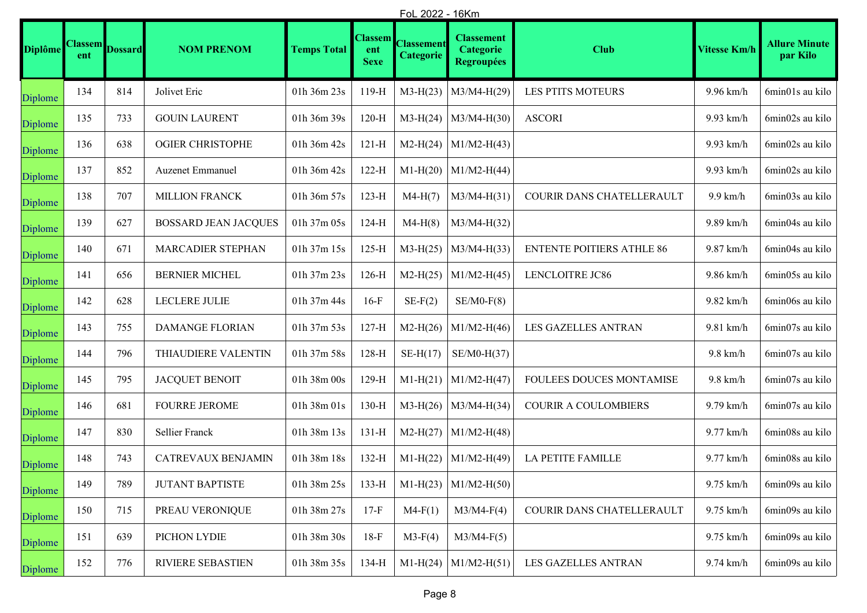|                | FoL 2022 - 16Km |                        |                             |                    |                                      |                                |                                                            |                                  |                     |                                  |
|----------------|-----------------|------------------------|-----------------------------|--------------------|--------------------------------------|--------------------------------|------------------------------------------------------------|----------------------------------|---------------------|----------------------------------|
| <b>Diplôme</b> | ent             | <b>Classem</b> Dossard | <b>NOM PRENOM</b>           | <b>Temps Total</b> | <b>Classem</b><br>ent<br><b>Sexe</b> | <b>Classement</b><br>Categorie | <b>Classement</b><br><b>Categorie</b><br><b>Regroupées</b> | <b>Club</b>                      | <b>Vitesse Km/h</b> | <b>Allure Minute</b><br>par Kilo |
| Diplome        | 134             | 814                    | Jolivet Eric                | 01h 36m 23s        | $119-H$                              | $M3-H(23)$                     | $M3/M4-H(29)$                                              | LES PTITS MOTEURS                | 9.96 km/h           | 6min01s au kilo                  |
| Diplome        | 135             | 733                    | <b>GOUIN LAURENT</b>        | 01h 36m 39s        | $120-H$                              | $M3-H(24)$                     | $M3/M4-H(30)$                                              | <b>ASCORI</b>                    | 9.93 km/h           | 6min02s au kilo                  |
| Diplome        | 136             | 638                    | <b>OGIER CHRISTOPHE</b>     | 01h 36m 42s        | $121-H$                              | $M2-H(24)$                     | $M1/M2-H(43)$                                              |                                  | 9.93 km/h           | 6min02s au kilo                  |
| Diplome        | 137             | 852                    | Auzenet Emmanuel            | 01h 36m 42s        | $122-H$                              | $M1-H(20)$                     | $M1/M2-H(44)$                                              |                                  | 9.93 km/h           | 6min02s au kilo                  |
| Diplome        | 138             | 707                    | <b>MILLION FRANCK</b>       | 01h 36m 57s        | $123-H$                              | $M4-H(7)$                      | $M3/M4-H(31)$                                              | COURIR DANS CHATELLERAULT        | $9.9$ km/h          | 6min03s au kilo                  |
| Diplome        | 139             | 627                    | <b>BOSSARD JEAN JACQUES</b> | 01h 37m 05s        | $124-H$                              | $M4-H(8)$                      | $M3/M4-H(32)$                                              |                                  | 9.89 km/h           | 6min04s au kilo                  |
| Diplome        | 140             | 671                    | MARCADIER STEPHAN           | 01h 37m 15s        | $125-H$                              | $M3-H(25)$                     | $M3/M4-H(33)$                                              | <b>ENTENTE POITIERS ATHLE 86</b> | 9.87 km/h           | 6min04s au kilo                  |
| Diplome        | 141             | 656                    | <b>BERNIER MICHEL</b>       | 01h 37m 23s        | $126-H$                              | $M2-H(25)$                     | $M1/M2-H(45)$                                              | LENCLOITRE JC86                  | 9.86 km/h           | 6min05s au kilo                  |
| Diplome        | 142             | 628                    | LECLERE JULIE               | 01h 37m 44s        | $16-F$                               | $SE-F(2)$                      | $SE/M0-F(8)$                                               |                                  | $9.82$ km/h         | 6min06s au kilo                  |
| Diplome        | 143             | 755                    | <b>DAMANGE FLORIAN</b>      | 01h 37m 53s        | $127-H$                              | $M2-H(26)$                     | $M1/M2-H(46)$                                              | LES GAZELLES ANTRAN              | 9.81 km/h           | 6min07s au kilo                  |
| Diplome        | 144             | 796                    | THIAUDIERE VALENTIN         | 01h 37m 58s        | $128-H$                              | $SE-H(17)$                     | $SE/M0-H(37)$                                              |                                  | $9.8$ km/h          | 6min07s au kilo                  |
| Diplome        | 145             | 795                    | <b>JACQUET BENOIT</b>       | 01h 38m 00s        | $129-H$                              | $M1-H(21)$                     | $M1/M2-H(47)$                                              | FOULEES DOUCES MONTAMISE         | $9.8$ km/h          | 6min07s au kilo                  |
| Diplome        | 146             | 681                    | <b>FOURRE JEROME</b>        | 01h 38m 01s        | $130-H$                              | $M3-H(26)$                     | $M3/M4-H(34)$                                              | <b>COURIR A COULOMBIERS</b>      | 9.79 km/h           | 6min07s au kilo                  |
| Diplome        | 147             | 830                    | Sellier Franck              | 01h 38m 13s        | $131-H$                              | $M2-H(27)$                     | $M1/M2-H(48)$                                              |                                  | 9.77 km/h           | 6min08s au kilo                  |
| Diplome        | 148             | 743                    | CATREVAUX BENJAMIN          | 01h 38m 18s        | $132-H$                              | $M1-H(22)$                     | $M1/M2-H(49)$                                              | <b>LA PETITE FAMILLE</b>         | 9.77 km/h           | 6min08s au kilo                  |
| Diplome        | 149             | 789                    | <b>JUTANT BAPTISTE</b>      | 01h 38m 25s        | $133-H$                              |                                | M1-H(23)   M1/M2-H(50)                                     |                                  | 9.75 km/h           | 6min09s au kilo                  |
| Diplome        | 150             | 715                    | PREAU VERONIQUE             | 01h 38m 27s        | $17-F$                               | $M4-F(1)$                      | $M3/M4-F(4)$                                               | COURIR DANS CHATELLERAULT        | 9.75 km/h           | 6min09s au kilo                  |
| Diplome        | 151             | 639                    | PICHON LYDIE                | 01h 38m 30s        | $18-F$                               | $M3-F(4)$                      | $M3/M4-F(5)$                                               |                                  | 9.75 km/h           | 6min09s au kilo                  |
| Diplome        | 152             | 776                    | RIVIERE SEBASTIEN           | 01h 38m 35s        | $134-H$                              | $M1-H(24)$                     | $M1/M2-H(51)$                                              | LES GAZELLES ANTRAN              | 9.74 km/h           | 6min09s au kilo                  |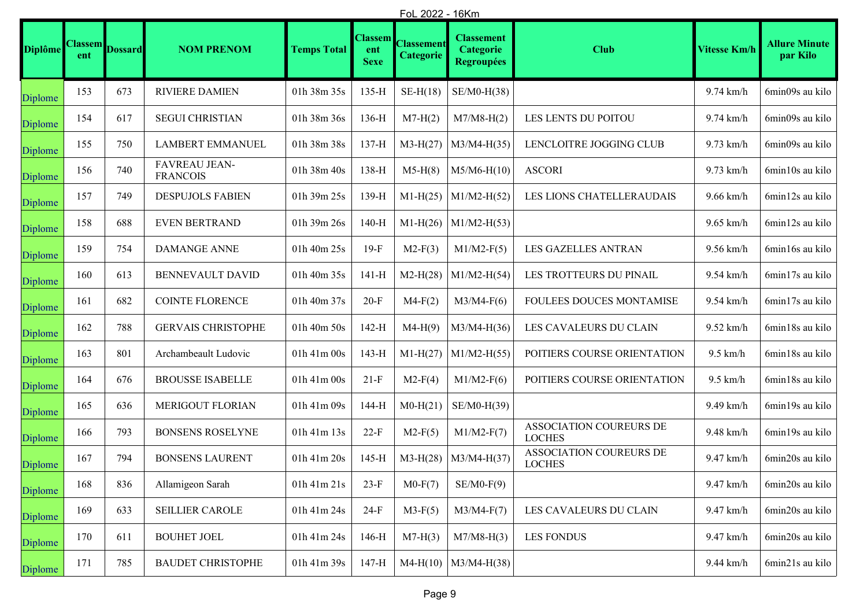|                | FoL 2022 - 16Km       |                |                                         |                    |                                      |                                       |                                                            |                                          |                     |                                  |
|----------------|-----------------------|----------------|-----------------------------------------|--------------------|--------------------------------------|---------------------------------------|------------------------------------------------------------|------------------------------------------|---------------------|----------------------------------|
| <b>Diplôme</b> | <b>Classem</b><br>ent | <b>Dossard</b> | <b>NOM PRENOM</b>                       | <b>Temps Total</b> | <b>Classem</b><br>ent<br><b>Sexe</b> | <b>Classement</b><br><b>Categorie</b> | <b>Classement</b><br><b>Categorie</b><br><b>Regroupées</b> | <b>Club</b>                              | <b>Vitesse Km/h</b> | <b>Allure Minute</b><br>par Kilo |
| Diplome        | 153                   | 673            | <b>RIVIERE DAMIEN</b>                   | 01h 38m 35s        | $135-H$                              | $SE-H(18)$                            | $SE/M0-H(38)$                                              |                                          | 9.74 km/h           | 6min09s au kilo                  |
| Diplome        | 154                   | 617            | <b>SEGUI CHRISTIAN</b>                  | 01h 38m 36s        | $136-H$                              | $M7-H(2)$                             | $M7/M8-H(2)$                                               | LES LENTS DU POITOU                      | 9.74 km/h           | 6min09s au kilo                  |
| Diplome        | 155                   | 750            | <b>LAMBERT EMMANUEL</b>                 | 01h 38m 38s        | $137-H$                              | $M3-H(27)$                            | $M3/M4-H(35)$                                              | LENCLOITRE JOGGING CLUB                  | 9.73 km/h           | 6min09s au kilo                  |
| Diplome        | 156                   | 740            | <b>FAVREAU JEAN-</b><br><b>FRANCOIS</b> | 01h 38m 40s        | $138-H$                              | $M5-H(8)$                             | $M5/M6-H(10)$                                              | <b>ASCORI</b>                            | $9.73$ km/h         | 6min10s au kilo                  |
| Diplome        | 157                   | 749            | <b>DESPUJOLS FABIEN</b>                 | 01h 39m 25s        | $139-H$                              | $M1-H(25)$                            | $M1/M2-H(52)$                                              | LES LIONS CHATELLERAUDAIS                | $9.66$ km/h         | 6min12s au kilo                  |
| Diplome        | 158                   | 688            | <b>EVEN BERTRAND</b>                    | 01h 39m 26s        | $140-H$                              | $M1-H(26)$                            | $M1/M2-H(53)$                                              |                                          | $9.65$ km/h         | 6min12s au kilo                  |
| Diplome        | 159                   | 754            | <b>DAMANGE ANNE</b>                     | 01h 40m 25s        | $19-F$                               | $M2-F(3)$                             | $M1/M2-F(5)$                                               | LES GAZELLES ANTRAN                      | 9.56 km/h           | 6min16s au kilo                  |
| Diplome        | 160                   | 613            | BENNEVAULT DAVID                        | 01h 40m 35s        | 141-H                                | $M2-H(28)$                            | $M1/M2-H(54)$                                              | LES TROTTEURS DU PINAIL                  | 9.54 km/h           | 6min17s au kilo                  |
| Diplome        | 161                   | 682            | <b>COINTE FLORENCE</b>                  | 01h 40m 37s        | $20-F$                               | $M4-F(2)$                             | $M3/M4-F(6)$                                               | FOULEES DOUCES MONTAMISE                 | 9.54 km/h           | 6min17s au kilo                  |
| Diplome        | 162                   | 788            | <b>GERVAIS CHRISTOPHE</b>               | 01h 40m 50s        | $142-H$                              | $M4-H(9)$                             | $M3/M4-H(36)$                                              | LES CAVALEURS DU CLAIN                   | $9.52$ km/h         | 6min18s au kilo                  |
| Diplome        | 163                   | 801            | Archambeault Ludovic                    | 01h 41m 00s        | $143-H$                              | $M1-H(27)$                            | $M1/M2-H(55)$                                              | POITIERS COURSE ORIENTATION              | $9.5$ km/h          | 6min18s au kilo                  |
| Diplome        | 164                   | 676            | <b>BROUSSE ISABELLE</b>                 | 01h 41m 00s        | $21-F$                               | $M2-F(4)$                             | $M1/M2-F(6)$                                               | POITIERS COURSE ORIENTATION              | $9.5$ km/h          | 6min18s au kilo                  |
| Diplome        | 165                   | 636            | MERIGOUT FLORIAN                        | 01h 41m 09s        | $144-H$                              | $M0-H(21)$                            | SE/M0-H(39)                                                |                                          | 9.49 km/h           | 6min19s au kilo                  |
| Diplome        | 166                   | 793            | <b>BONSENS ROSELYNE</b>                 | 01h 41m 13s        | $22-F$                               | $M2-F(5)$                             | $M1/M2-F(7)$                                               | ASSOCIATION COUREURS DE<br><b>LOCHES</b> | 9.48 km/h           | 6min19s au kilo                  |
| Diplome        | 167                   | 794            | <b>BONSENS LAURENT</b>                  | 01h 41m 20s        | $145-H$                              | $M3-H(28)$                            | $M3/M4-H(37)$                                              | ASSOCIATION COUREURS DE<br><b>LOCHES</b> | 9.47 km/h           | 6min20s au kilo                  |
| Diplome        | 168                   | 836            | Allamigeon Sarah                        | 01h 41m 21s        | $23-F$                               | $M0-F(7)$                             | $SE/M0-F(9)$                                               |                                          | 9.47 km/h           | 6min20s au kilo                  |
| Diplome        | 169                   | 633            | <b>SEILLIER CAROLE</b>                  | 01h 41m 24s        | $24-F$                               | $M3-F(5)$                             | $M3/M4-F(7)$                                               | LES CAVALEURS DU CLAIN                   | 9.47 km/h           | 6min20s au kilo                  |
| Diplome        | 170                   | 611            | <b>BOUHET JOEL</b>                      | 01h 41m 24s        | $146-H$                              | $M7-H(3)$                             | $M7/M8-H(3)$                                               | <b>LES FONDUS</b>                        | 9.47 km/h           | 6min20s au kilo                  |
| Diplome        | 171                   | 785            | <b>BAUDET CHRISTOPHE</b>                | 01h 41m 39s        | 147-H                                | $M4-H(10)$                            | $M3/M4-H(38)$                                              |                                          | 9.44 km/h           | 6min21s au kilo                  |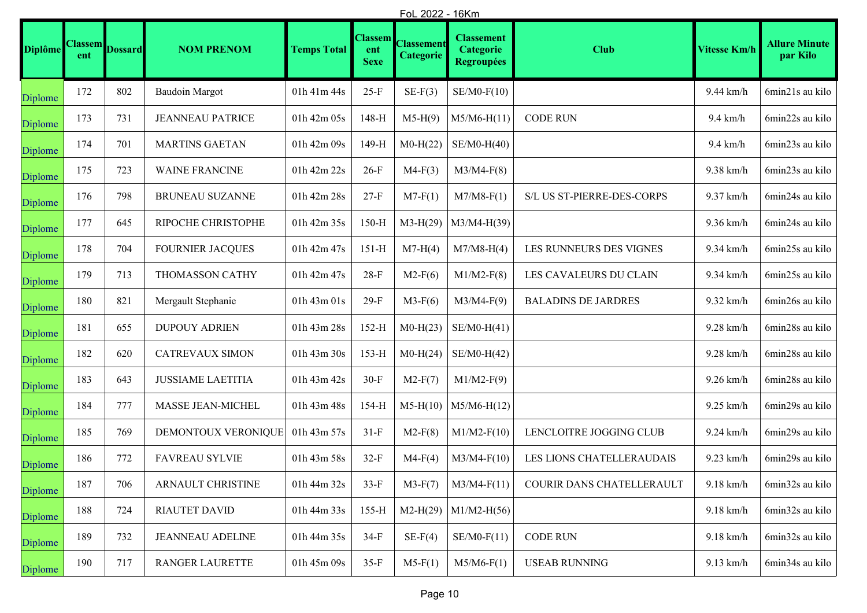|                | FoL 2022 - 16Km       |                |                          |                    |                                      |                         |                                                            |                            |                     |                                  |
|----------------|-----------------------|----------------|--------------------------|--------------------|--------------------------------------|-------------------------|------------------------------------------------------------|----------------------------|---------------------|----------------------------------|
| <b>Diplôme</b> | <b>Classem</b><br>ent | <b>Dossard</b> | <b>NOM PRENOM</b>        | <b>Temps Total</b> | <b>Classem</b><br>ent<br><b>Sexe</b> | Classement<br>Categorie | <b>Classement</b><br><b>Categorie</b><br><b>Regroupées</b> | <b>Club</b>                | <b>Vitesse Km/h</b> | <b>Allure Minute</b><br>par Kilo |
| Diplome        | 172                   | 802            | <b>Baudoin Margot</b>    | $01h$ $41m$ $44s$  | $25-F$                               | $SE-F(3)$               | $SE/M0-F(10)$                                              |                            | 9.44 km/h           | 6min21s au kilo                  |
| Diplome        | 173                   | 731            | <b>JEANNEAU PATRICE</b>  | 01h 42m 05s        | 148-H                                | $M5-H(9)$               | $M5/M6-H(11)$                                              | <b>CODE RUN</b>            | $9.4$ km/h          | 6min22s au kilo                  |
| Diplome        | 174                   | 701            | <b>MARTINS GAETAN</b>    | 01h 42m 09s        | 149-H                                | $M0-H(22)$              | $SE/M0-H(40)$                                              |                            | $9.4$ km/h          | 6min23s au kilo                  |
| Diplome        | 175                   | 723            | <b>WAINE FRANCINE</b>    | 01h 42m 22s        | $26-F$                               | $M4-F(3)$               | $M3/M4-F(8)$                                               |                            | 9.38 km/h           | 6min23s au kilo                  |
| Diplome        | 176                   | 798            | BRUNEAU SUZANNE          | 01h 42m 28s        | $27-F$                               | $M7-F(1)$               | $M7/M8-F(1)$                                               | S/L US ST-PIERRE-DES-CORPS | 9.37 km/h           | 6min24s au kilo                  |
| Diplome        | 177                   | 645            | RIPOCHE CHRISTOPHE       | 01h 42m 35s        | $150-H$                              | $M3-H(29)$              | M3/M4-H(39)                                                |                            | 9.36 km/h           | 6min24s au kilo                  |
| Diplome        | 178                   | 704            | <b>FOURNIER JACQUES</b>  | 01h 42m 47s        | $151-H$                              | $M7-H(4)$               | $M7/M8-H(4)$                                               | LES RUNNEURS DES VIGNES    | 9.34 km/h           | 6min25s au kilo                  |
| Diplome        | 179                   | 713            | THOMASSON CATHY          | 01h 42m 47s        | $28-F$                               | $M2-F(6)$               | $M1/M2-F(8)$                                               | LES CAVALEURS DU CLAIN     | 9.34 km/h           | 6min25s au kilo                  |
| Diplome        | 180                   | 821            | Mergault Stephanie       | 01h 43m 01s        | $29-F$                               | $M3-F(6)$               | $M3/M4-F(9)$                                               | <b>BALADINS DE JARDRES</b> | 9.32 km/h           | 6min26s au kilo                  |
| Diplome        | 181                   | 655            | <b>DUPOUY ADRIEN</b>     | 01h 43m 28s        | $152-H$                              | $M0-H(23)$              | $SE/M0-H(41)$                                              |                            | $9.28$ km/h         | 6min28s au kilo                  |
| Diplome        | 182                   | 620            | <b>CATREVAUX SIMON</b>   | 01h 43m 30s        | $153-H$                              | $M0-H(24)$              | $SE/M0-H(42)$                                              |                            | $9.28$ km/h         | 6min28s au kilo                  |
| Diplome        | 183                   | 643            | <b>JUSSIAME LAETITIA</b> | 01h 43m 42s        | $30-F$                               | $M2-F(7)$               | $M1/M2-F(9)$                                               |                            | $9.26$ km/h         | 6min28s au kilo                  |
| Diplome        | 184                   | 777            | MASSE JEAN-MICHEL        | 01h 43m 48s        | $154-H$                              | $M5-H(10)$              | $M5/M6-H(12)$                                              |                            | $9.25$ km/h         | 6min29s au kilo                  |
| Diplome        | 185                   | 769            | DEMONTOUX VERONIQUE      | 01h 43m 57s        | $31-F$                               | $M2-F(8)$               | $M1/M2-F(10)$                                              | LENCLOITRE JOGGING CLUB    | $9.24$ km/h         | 6min29s au kilo                  |
| Diplome        | 186                   | 772            | <b>FAVREAU SYLVIE</b>    | 01h 43m 58s        | $32-F$                               | $M4-F(4)$               | $M3/M4-F(10)$                                              | LES LIONS CHATELLERAUDAIS  | $9.23$ km/h         | 6min29s au kilo                  |
| Diplome        | 187                   | 706            | ARNAULT CHRISTINE        | 01h 44m 32s        | $33-F$                               | $M3-F(7)$               | $M3/M4-F(11)$                                              | COURIR DANS CHATELLERAULT  | $9.18$ km/h         | 6min32s au kilo                  |
| Diplome        | 188                   | 724            | <b>RIAUTET DAVID</b>     | 01h 44m 33s        | $155-H$                              | $M2-H(29)$              | $M1/M2-H(56)$                                              |                            | $9.18$ km/h         | 6min32s au kilo                  |
| Diplome        | 189                   | 732            | <b>JEANNEAU ADELINE</b>  | 01h 44m 35s        | $34-F$                               | $SE-F(4)$               | $SE/M0-F(11)$                                              | <b>CODE RUN</b>            | $9.18$ km/h         | 6min32s au kilo                  |
| Diplome        | 190                   | 717            | RANGER LAURETTE          | 01h 45m 09s        | $35-F$                               | $M5-F(1)$               | $M5/M6-F(1)$                                               | <b>USEAB RUNNING</b>       | $9.13$ km/h         | 6min34s au kilo                  |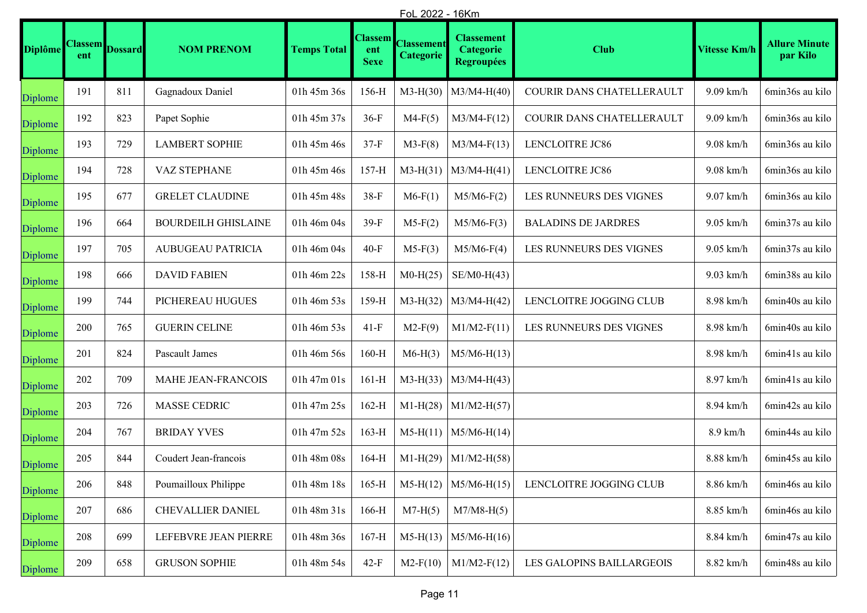|                | <u>FoL 2022 - 16Km</u> |                |                            |                    |                                      |                                |                                                            |                            |              |                                  |
|----------------|------------------------|----------------|----------------------------|--------------------|--------------------------------------|--------------------------------|------------------------------------------------------------|----------------------------|--------------|----------------------------------|
| <b>Diplôme</b> | <b>Classem</b><br>ent  | <b>Dossard</b> | <b>NOM PRENOM</b>          | <b>Temps Total</b> | <b>Classem</b><br>ent<br><b>Sexe</b> | <b>Classement</b><br>Categorie | <b>Classement</b><br><b>Categorie</b><br><b>Regroupées</b> | <b>Club</b>                | Vitesse Km/h | <b>Allure Minute</b><br>par Kilo |
| Diplome        | 191                    | 811            | Gagnadoux Daniel           | 01h 45m 36s        | 156-H                                | $M3-H(30)$                     | $M3/M4-H(40)$                                              | COURIR DANS CHATELLERAULT  | $9.09$ km/h  | 6min36s au kilo                  |
| Diplome        | 192                    | 823            | Papet Sophie               | 01h 45m 37s        | $36-F$                               | $M4-F(5)$                      | $M3/M4-F(12)$                                              | COURIR DANS CHATELLERAULT  | 9.09 km/h    | 6min36s au kilo                  |
| Diplome        | 193                    | 729            | <b>LAMBERT SOPHIE</b>      | 01h 45m 46s        | $37-F$                               | $M3-F(8)$                      | $M3/M4-F(13)$                                              | LENCLOITRE JC86            | $9.08$ km/h  | 6min36s au kilo                  |
| Diplome        | 194                    | 728            | VAZ STEPHANE               | 01h 45m 46s        | $157-H$                              | $M3-H(31)$                     | $M3/M4-H(41)$                                              | LENCLOITRE JC86            | $9.08$ km/h  | 6min36s au kilo                  |
| Diplome        | 195                    | 677            | <b>GRELET CLAUDINE</b>     | 01h 45m 48s        | $38-F$                               | $M6-F(1)$                      | $M5/M6-F(2)$                                               | LES RUNNEURS DES VIGNES    | $9.07$ km/h  | 6min36s au kilo                  |
| Diplome        | 196                    | 664            | <b>BOURDEILH GHISLAINE</b> | 01h 46m 04s        | $39-F$                               | $M5-F(2)$                      | $M5/M6-F(3)$                                               | <b>BALADINS DE JARDRES</b> | $9.05$ km/h  | 6min37s au kilo                  |
| Diplome        | 197                    | 705            | <b>AUBUGEAU PATRICIA</b>   | 01h 46m 04s        | $40-F$                               | $M5-F(3)$                      | $M5/M6-F(4)$                                               | LES RUNNEURS DES VIGNES    | $9.05$ km/h  | 6min37s au kilo                  |
| Diplome        | 198                    | 666            | <b>DAVID FABIEN</b>        | 01h 46m 22s        | $158-H$                              | $M0-H(25)$                     | $SE/M0-H(43)$                                              |                            | $9.03$ km/h  | 6min38s au kilo                  |
| Diplome        | 199                    | 744            | PICHEREAU HUGUES           | 01h 46m 53s        | $159-H$                              | $M3-H(32)$                     | $M3/M4-H(42)$                                              | LENCLOITRE JOGGING CLUB    | 8.98 km/h    | 6min40s au kilo                  |
| Diplome        | 200                    | 765            | <b>GUERIN CELINE</b>       | 01h 46m 53s        | $41-F$                               | $M2-F(9)$                      | $M1/M2-F(11)$                                              | LES RUNNEURS DES VIGNES    | 8.98 km/h    | 6min40s au kilo                  |
| Diplome        | 201                    | 824            | Pascault James             | 01h 46m 56s        | $160-H$                              | $M6-H(3)$                      | $M5/M6-H(13)$                                              |                            | 8.98 km/h    | 6min41s au kilo                  |
| Diplome        | 202                    | 709            | MAHE JEAN-FRANCOIS         | $01h$ 47m $01s$    | $161-H$                              | $M3-H(33)$                     | $M3/M4-H(43)$                                              |                            | 8.97 km/h    | 6min41s au kilo                  |
| Diplome        | 203                    | 726            | MASSE CEDRIC               | 01h 47m 25s        | $162-H$                              | $M1-H(28)$                     | $M1/M2-H(57)$                                              |                            | 8.94 km/h    | 6min42s au kilo                  |
| Diplome        | 204                    | 767            | <b>BRIDAY YVES</b>         | 01h 47m 52s        | $163-H$                              | $M5-H(11)$                     | $M5/M6-H(14)$                                              |                            | $8.9$ km/h   | 6min44s au kilo                  |
| Diplome        | 205                    | 844            | Coudert Jean-francois      | 01h 48m 08s        | $164-H$                              | $M1-H(29)$                     | $M1/M2-H(58)$                                              |                            | 8.88 km/h    | 6min45s au kilo                  |
| Diplome        | 206                    | 848            | Poumailloux Philippe       | 01h 48m 18s        | $165-H$                              | $M5-H(12)$                     | $M5/M6-H(15)$                                              | LENCLOITRE JOGGING CLUB    | 8.86 km/h    | 6min46s au kilo                  |
| Diplome        | 207                    | 686            | <b>CHEVALLIER DANIEL</b>   | 01h 48m 31s        | $166-H$                              | $M7-H(5)$                      | $M7/M8-H(5)$                                               |                            | 8.85 km/h    | 6min46s au kilo                  |
| Diplome        | 208                    | 699            | LEFEBVRE JEAN PIERRE       | 01h 48m 36s        | $167-H$                              | $M5-H(13)$                     | $M5/M6-H(16)$                                              |                            | 8.84 km/h    | 6min47s au kilo                  |
| Diplome        | 209                    | 658            | <b>GRUSON SOPHIE</b>       | 01h 48m 54s        | $42-F$                               | $M2-F(10)$                     | $M1/M2-F(12)$                                              | LES GALOPINS BAILLARGEOIS  | 8.82 km/h    | 6min48s au kilo                  |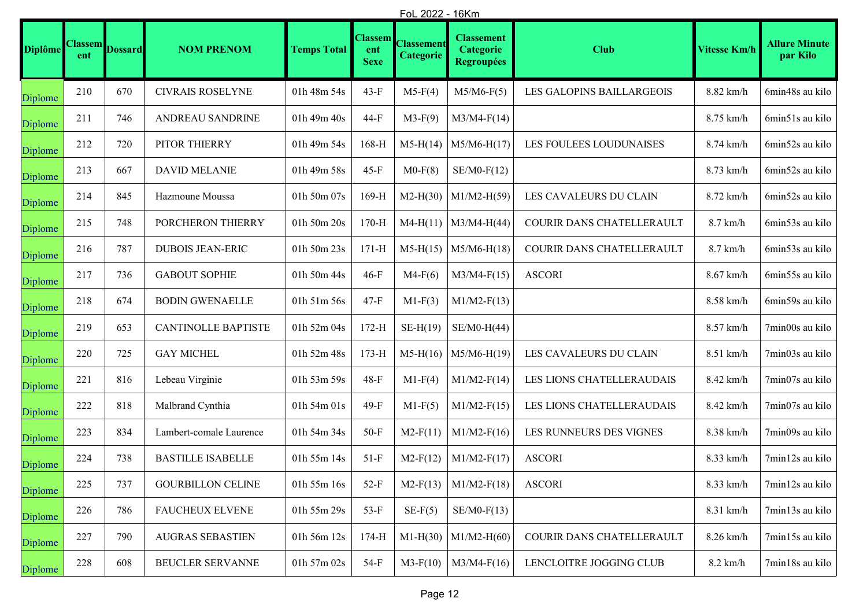|                | FoL 2022 - 16Km       |                |                            |                    |                                      |                                       |                                                            |                           |                     |                                  |
|----------------|-----------------------|----------------|----------------------------|--------------------|--------------------------------------|---------------------------------------|------------------------------------------------------------|---------------------------|---------------------|----------------------------------|
| <b>Diplôme</b> | <b>Classem</b><br>ent | <b>Dossard</b> | <b>NOM PRENOM</b>          | <b>Temps Total</b> | <b>Classem</b><br>ent<br><b>Sexe</b> | <b>Classement</b><br><b>Categorie</b> | <b>Classement</b><br><b>Categorie</b><br><b>Regroupées</b> | <b>Club</b>               | <b>Vitesse Km/h</b> | <b>Allure Minute</b><br>par Kilo |
| Diplome        | 210                   | 670            | CIVRAIS ROSELYNE           | 01h 48m 54s        | 43-F                                 | $M5-F(4)$                             | $M5/M6-F(5)$                                               | LES GALOPINS BAILLARGEOIS | 8.82 km/h           | 6min48s au kilo                  |
| Diplome        | 211                   | 746            | ANDREAU SANDRINE           | 01h 49m 40s        | 44-F                                 | $M3-F(9)$                             | $M3/M4-F(14)$                                              |                           | 8.75 km/h           | 6min51s au kilo                  |
| Diplome        | 212                   | 720            | PITOR THIERRY              | 01h 49m 54s        | $168-H$                              | $M5-H(14)$                            | $M5/M6-H(17)$                                              | LES FOULEES LOUDUNAISES   | 8.74 km/h           | 6min52s au kilo                  |
| Diplome        | 213                   | 667            | <b>DAVID MELANIE</b>       | 01h 49m 58s        | $45-F$                               | $M0-F(8)$                             | $SE/M0-F(12)$                                              |                           | 8.73 km/h           | 6min52s au kilo                  |
| Diplome        | 214                   | 845            | Hazmoune Moussa            | 01h 50m 07s        | $169-H$                              | $M2-H(30)$                            | $M1/M2-H(59)$                                              | LES CAVALEURS DU CLAIN    | 8.72 km/h           | 6min52s au kilo                  |
| Diplome        | 215                   | 748            | PORCHERON THIERRY          | 01h 50m 20s        | $170-H$                              | $M4-H(11)$                            | $M3/M4-H(44)$                                              | COURIR DANS CHATELLERAULT | $8.7$ km/h          | 6min53s au kilo                  |
| Diplome        | 216                   | 787            | <b>DUBOIS JEAN-ERIC</b>    | 01h 50m 23s        | $171-H$                              | $M5-H(15)$                            | $M5/M6-H(18)$                                              | COURIR DANS CHATELLERAULT | $8.7$ km/h          | 6min53s au kilo                  |
| Diplome        | 217                   | 736            | <b>GABOUT SOPHIE</b>       | 01h 50m 44s        | $46-F$                               | $M4-F(6)$                             | $M3/M4-F(15)$                                              | <b>ASCORI</b>             | 8.67 km/h           | 6min55s au kilo                  |
| Diplome        | 218                   | 674            | <b>BODIN GWENAELLE</b>     | 01h 51m 56s        | $47-F$                               | $M1-F(3)$                             | $M1/M2-F(13)$                                              |                           | 8.58 km/h           | 6min59s au kilo                  |
| Diplome        | 219                   | 653            | <b>CANTINOLLE BAPTISTE</b> | 01h 52m 04s        | $172-H$                              | $SE-H(19)$                            | $SE/M0-H(44)$                                              |                           | 8.57 km/h           | 7min00s au kilo                  |
| Diplome        | 220                   | 725            | <b>GAY MICHEL</b>          | 01h 52m 48s        | $173-H$                              | $M5-H(16)$                            | $M5/M6-H(19)$                                              | LES CAVALEURS DU CLAIN    | 8.51 km/h           | 7min03s au kilo                  |
| Diplome        | 221                   | 816            | Lebeau Virginie            | 01h 53m 59s        | $48-F$                               | $M1-F(4)$                             | $M1/M2-F(14)$                                              | LES LIONS CHATELLERAUDAIS | 8.42 km/h           | 7min07s au kilo                  |
| Diplome        | 222                   | 818            | Malbrand Cynthia           | 01h 54m 01s        | 49-F                                 | $M1-F(5)$                             | $M1/M2-F(15)$                                              | LES LIONS CHATELLERAUDAIS | 8.42 km/h           | 7min07s au kilo                  |
| Diplome        | 223                   | 834            | Lambert-comale Laurence    | 01h 54m 34s        | $50-F$                               | $M2-F(11)$                            | $M1/M2-F(16)$                                              | LES RUNNEURS DES VIGNES   | 8.38 km/h           | 7min09s au kilo                  |
| Diplome        | 224                   | 738            | <b>BASTILLE ISABELLE</b>   | 01h 55m 14s        | $51-F$                               | $M2-F(12)$                            | $M1/M2-F(17)$                                              | <b>ASCORI</b>             | 8.33 km/h           | 7min12s au kilo                  |
| Diplome        | 225                   | 737            | <b>GOURBILLON CELINE</b>   | 01h 55m 16s        | $52-F$                               | $M2-F(13)$                            | $M1/M2-F(18)$                                              | <b>ASCORI</b>             | 8.33 km/h           | 7min12s au kilo                  |
| Diplome        | 226                   | 786            | <b>FAUCHEUX ELVENE</b>     | 01h 55m 29s        | $53-F$                               | $SE-F(5)$                             | $SE/M0-F(13)$                                              |                           | 8.31 km/h           | 7min13s au kilo                  |
| Diplome        | 227                   | 790            | <b>AUGRAS SEBASTIEN</b>    | 01h 56m 12s        | $174-H$                              | $M1-H(30)$                            | $M1/M2-H(60)$                                              | COURIR DANS CHATELLERAULT | 8.26 km/h           | 7min15s au kilo                  |
| Diplome        | 228                   | 608            | BEUCLER SERVANNE           | 01h 57m 02s        | $54-F$                               | $M3-F(10)$                            | $M3/M4-F(16)$                                              | LENCLOITRE JOGGING CLUB   | $8.2$ km/h          | 7min18s au kilo                  |